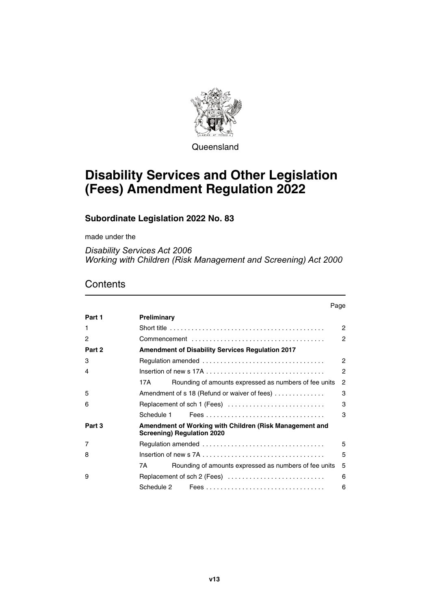

**Queensland** 

# **Disability Services and Other Legislation (Fees) Amendment Regulation 2022**

### **Subordinate Legislation 2022 No. 83**

made under the

*Disability Services Act 2006 Working with Children (Risk Management and Screening) Act 2000*

### **Contents**

|        | Page                                                                                                                     |                |
|--------|--------------------------------------------------------------------------------------------------------------------------|----------------|
| Part 1 | Preliminary                                                                                                              |                |
| 1      |                                                                                                                          | $\mathcal{P}$  |
| 2      |                                                                                                                          | 2              |
| Part 2 | <b>Amendment of Disability Services Regulation 2017</b>                                                                  |                |
| 3      |                                                                                                                          | $\mathcal{P}$  |
| 4      | Insertion of new s 17A $\dots$ , $\dots$ , $\dots$ , $\dots$ , $\dots$ , $\dots$ , $\dots$ , $\dots$ , $\dots$ , $\dots$ | $\mathcal{P}$  |
|        | Rounding of amounts expressed as numbers of fee units<br>17A                                                             | $\overline{c}$ |
| 5      | Amendment of s 18 (Refund or waiver of fees)                                                                             | 3              |
| 6      | Replacement of sch 1 (Fees)                                                                                              | 3              |
|        | Schedule 1                                                                                                               | 3              |
| Part 3 | Amendment of Working with Children (Risk Management and<br><b>Screening) Regulation 2020</b>                             |                |
| 7      |                                                                                                                          | 5              |
| 8      |                                                                                                                          | 5              |
|        | Rounding of amounts expressed as numbers of fee units<br>7A                                                              | 5              |
| 9      | Replacement of sch 2 (Fees)                                                                                              | 6              |
|        | Schedule 2                                                                                                               | 6              |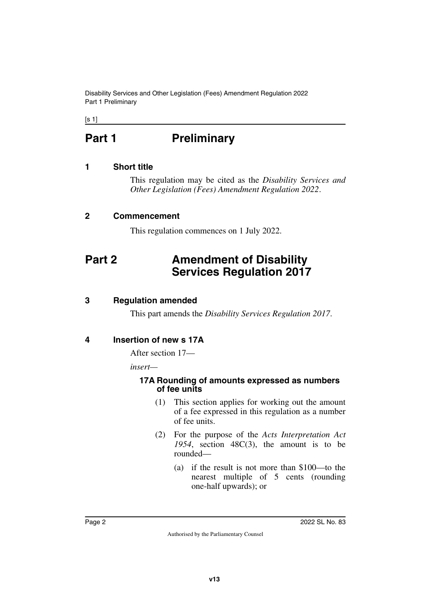Disability Services and Other Legislation (Fees) Amendment Regulation 2022 Part 1 Preliminary

<span id="page-1-0"></span> $[s 1]$ 

# **Part 1** Preliminary

### <span id="page-1-2"></span>**1 Short title**

<span id="page-1-3"></span><span id="page-1-1"></span>This regulation may be cited as the *Disability Services and Other Legislation (Fees) Amendment Regulation 2022*.

### <span id="page-1-4"></span>**2 Commencement**

<span id="page-1-7"></span><span id="page-1-5"></span>This regulation commences on 1 July 2022.

# <span id="page-1-6"></span>**Part 2 Amendment of Disability Services Regulation 2017**

### <span id="page-1-8"></span>**3 Regulation amended**

<span id="page-1-11"></span><span id="page-1-9"></span>This part amends the *Disability Services Regulation 2017*.

### <span id="page-1-10"></span>**4 Insertion of new s 17A**

After section 17—

*insert—*

#### <span id="page-1-13"></span><span id="page-1-12"></span>**17A Rounding of amounts expressed as numbers of fee units**

- (1) This section applies for working out the amount of a fee expressed in this regulation as a number of fee units.
- (2) For the purpose of the *Acts Interpretation Act 1954*, section 48C(3), the amount is to be rounded—
	- (a) if the result is not more than \$100—to the nearest multiple of 5 cents (rounding one-half upwards); or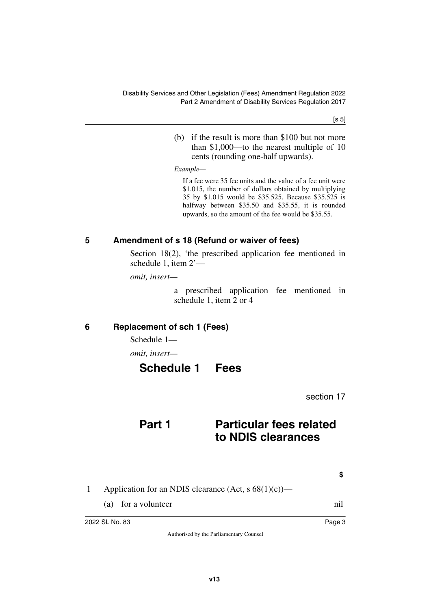[s 5]

(b) if the result is more than \$100 but not more than \$1,000—to the nearest multiple of 10 cents (rounding one-half upwards).

*Example—*

If a fee were 35 fee units and the value of a fee unit were \$1.015, the number of dollars obtained by multiplying 35 by \$1.015 would be \$35.525. Because \$35.525 is halfway between \$35.50 and \$35.55, it is rounded upwards, so the amount of the fee would be \$35.55.

### <span id="page-2-0"></span>**5 Amendment of s 18 (Refund or waiver of fees)**

<span id="page-2-1"></span>Section 18(2), 'the prescribed application fee mentioned in schedule 1, item 2'—

*omit, insert—*

a prescribed application fee mentioned in schedule 1, item 2 or 4

### <span id="page-2-2"></span>**6 Replacement of sch 1 (Fees)**

<span id="page-2-3"></span>Schedule 1—

*omit, insert—*

# <span id="page-2-5"></span><span id="page-2-4"></span>**Schedule 1 Fees**

section 17

### **Part 1 Particular fees related to NDIS clearances**

**\$**

- 1 Application for an NDIS clearance  $(Act, s 68(1)(c))$ 
	- (a) for a volunteer nil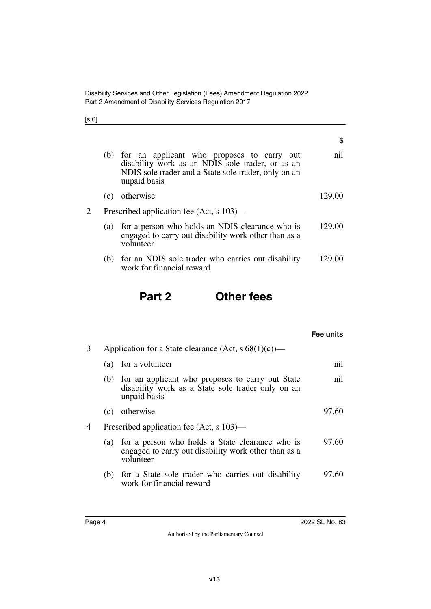Disability Services and Other Legislation (Fees) Amendment Regulation 2022 Part 2 Amendment of Disability Services Regulation 2017

[s 6]

|  | ×<br>×<br>× | ۰,<br>× |
|--|-------------|---------|
|  |             |         |

|   | (b) | for an applicant who proposes to carry out<br>disability work as an NDIS sole trader, or as an<br>NDIS sole trader and a State sole trader, only on an<br>unpaid basis | nil    |
|---|-----|------------------------------------------------------------------------------------------------------------------------------------------------------------------------|--------|
|   | (c) | otherwise                                                                                                                                                              | 129.00 |
| 2 |     | Prescribed application fee (Act, s 103)—                                                                                                                               |        |
|   | (a) | for a person who holds an NDIS clearance who is<br>engaged to carry out disability work other than as a<br>volunteer                                                   | 129.00 |
|   | (b) | for an NDIS sole trader who carries out disability<br>work for financial reward                                                                                        |        |

# **Part 2 Other fees**

|   |     |                                                                                                                           | Fee units |
|---|-----|---------------------------------------------------------------------------------------------------------------------------|-----------|
| 3 |     | Application for a State clearance (Act, s $68(1)(c)$ )—                                                                   |           |
|   | (a) | for a volunteer                                                                                                           | nil       |
|   |     | (b) for an applicant who proposes to carry out State<br>disability work as a State sole trader only on an<br>unpaid basis | nil       |
|   | (c) | otherwise                                                                                                                 | 97.60     |
| 4 |     | Prescribed application fee (Act, s 103)—                                                                                  |           |
|   |     | (a) for a person who holds a State clearance who is<br>engaged to carry out disability work other than as a<br>volunteer  | 97.60     |
|   |     | (b) for a State sole trader who carries out disability<br>work for financial reward                                       | 97.60     |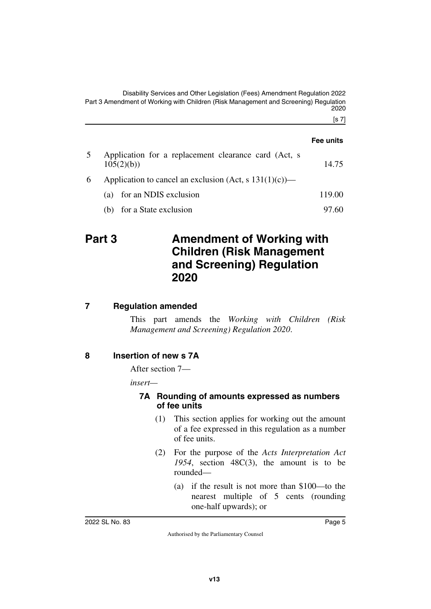Disability Services and Other Legislation (Fees) Amendment Regulation 2022 Part 3 Amendment of Working with Children (Risk Management and Screening) Regulation 2020

[s 7]

|    |                                                                   | Fee units |
|----|-------------------------------------------------------------------|-----------|
| 5  | Application for a replacement clearance card (Act, s<br>105(2)(b) | 14.75     |
| 6. | Application to cancel an exclusion (Act, s $131(1)(c)$ )—         |           |
|    | (a) for an NDIS exclusion                                         | 119.00    |
|    | (b) for a State exclusion                                         | 97.60     |

### <span id="page-4-1"></span><span id="page-4-0"></span>**Part 3 Amendment of Working with Children (Risk Management and Screening) Regulation 2020**

### <span id="page-4-2"></span>**7 Regulation amended**

<span id="page-4-3"></span>This part amends the *Working with Children (Risk Management and Screening) Regulation 2020*.

#### <span id="page-4-4"></span>**8 Insertion of new s 7A**

<span id="page-4-5"></span>After section 7—

*insert—*

#### <span id="page-4-7"></span><span id="page-4-6"></span>**7A Rounding of amounts expressed as numbers of fee units**

- (1) This section applies for working out the amount of a fee expressed in this regulation as a number of fee units.
- (2) For the purpose of the *Acts Interpretation Act 1954*, section 48C(3), the amount is to be rounded—
	- (a) if the result is not more than \$100—to the nearest multiple of 5 cents (rounding one-half upwards); or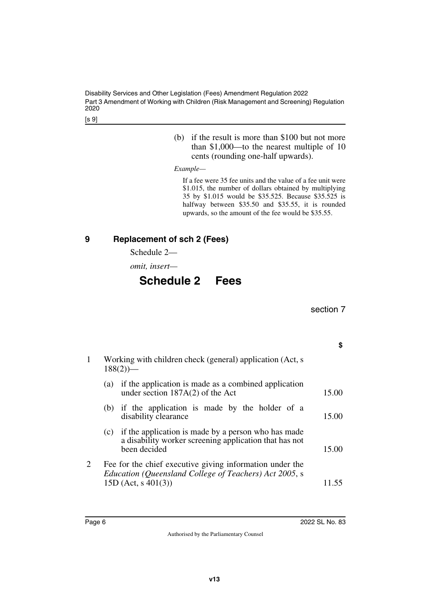Disability Services and Other Legislation (Fees) Amendment Regulation 2022 Part 3 Amendment of Working with Children (Risk Management and Screening) Regulation 2020

[s 9]

(b) if the result is more than \$100 but not more than \$1,000—to the nearest multiple of 10 cents (rounding one-half upwards).

*Example—*

If a fee were 35 fee units and the value of a fee unit were \$1.015, the number of dollars obtained by multiplying 35 by \$1.015 would be \$35.525. Because \$35.525 is halfway between \$35.50 and \$35.55, it is rounded upwards, so the amount of the fee would be \$35.55.

<span id="page-5-1"></span><span id="page-5-0"></span>Schedule 2—

*omit, insert—*

# <span id="page-5-3"></span><span id="page-5-2"></span>**Schedule 2 Fees**

section 7

1 Working with children check (general) application (Act, s  $188(2)$ )— (a) if the application is made as a combined application under section  $187A(2)$  of the Act 15.00 (b) if the application is made by the holder of a disability clearance 15.00 (c) if the application is made by a person who has made a disability worker screening application that has not been decided 15.00 2 Fee for the chief executive giving information under the

*Education (Queensland College of Teachers) Act 2005*, s 15D (Act, s 401(3)) 11.55

### **\$**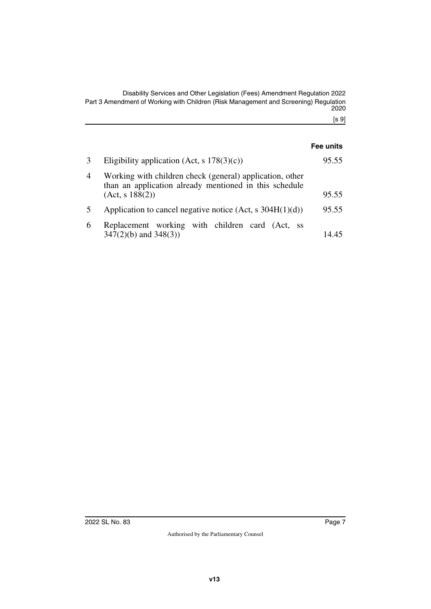Disability Services and Other Legislation (Fees) Amendment Regulation 2022 Part 3 Amendment of Working with Children (Risk Management and Screening) Regulation 2020

[s 9]

|                |                                                                                                                                       | Fee units |
|----------------|---------------------------------------------------------------------------------------------------------------------------------------|-----------|
|                | Eligibility application (Act, s $178(3)(c)$ )                                                                                         | 95.55     |
| $\overline{4}$ | Working with children check (general) application, other<br>than an application already mentioned in this schedule<br>(Act, s 188(2)) | 95.55     |
| 5              | Application to cancel negative notice (Act, s $304H(1)(d)$ )                                                                          | 95.55     |
| 6              | Replacement working with children card (Act,<br>- SS<br>$347(2)(b)$ and $348(3)$ )                                                    | 14.45     |